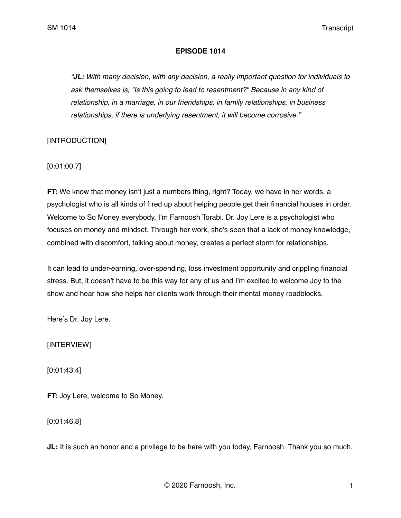### **EPISODE 1014**

*"JL: With many decision, with any decision, a really important question for individuals to ask themselves is, "Is this going to lead to resentment?" Because in any kind of relationship, in a marriage, in our friendships, in family relationships, in business relationships, if there is underlying resentment, it will become corrosive."*

[INTRODUCTION]

[0:01:00.7]

**FT:** We know that money isn't just a numbers thing, right? Today, we have in her words, a psychologist who is all kinds of fired up about helping people get their financial houses in order. Welcome to So Money everybody, I'm Farnoosh Torabi. Dr. Joy Lere is a psychologist who focuses on money and mindset. Through her work, she's seen that a lack of money knowledge, combined with discomfort, talking about money, creates a perfect storm for relationships.

It can lead to under-earning, over-spending, loss investment opportunity and crippling financial stress. But, it doesn't have to be this way for any of us and I'm excited to welcome Joy to the show and hear how she helps her clients work through their mental money roadblocks.

Here's Dr. Joy Lere.

[INTERVIEW]

[0:01:43.4]

**FT:** Joy Lere, welcome to So Money.

[0:01:46.8]

**JL:** It is such an honor and a privilege to be here with you today, Farnoosh. Thank you so much.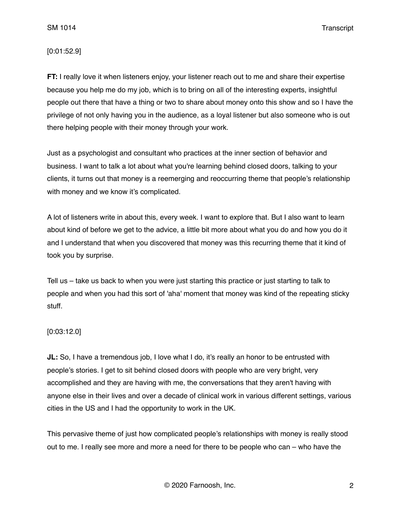### [0:01:52.9]

**FT:** I really love it when listeners enjoy, your listener reach out to me and share their expertise because you help me do my job, which is to bring on all of the interesting experts, insightful people out there that have a thing or two to share about money onto this show and so I have the privilege of not only having you in the audience, as a loyal listener but also someone who is out there helping people with their money through your work.

Just as a psychologist and consultant who practices at the inner section of behavior and business. I want to talk a lot about what you're learning behind closed doors, talking to your clients, it turns out that money is a reemerging and reoccurring theme that people's relationship with money and we know it's complicated.

A lot of listeners write in about this, every week. I want to explore that. But I also want to learn about kind of before we get to the advice, a little bit more about what you do and how you do it and I understand that when you discovered that money was this recurring theme that it kind of took you by surprise.

Tell us – take us back to when you were just starting this practice or just starting to talk to people and when you had this sort of 'aha' moment that money was kind of the repeating sticky stuff.

## [0:03:12.0]

**JL:** So, I have a tremendous job, I love what I do, it's really an honor to be entrusted with people's stories. I get to sit behind closed doors with people who are very bright, very accomplished and they are having with me, the conversations that they aren't having with anyone else in their lives and over a decade of clinical work in various different settings, various cities in the US and I had the opportunity to work in the UK.

This pervasive theme of just how complicated people's relationships with money is really stood out to me. I really see more and more a need for there to be people who can – who have the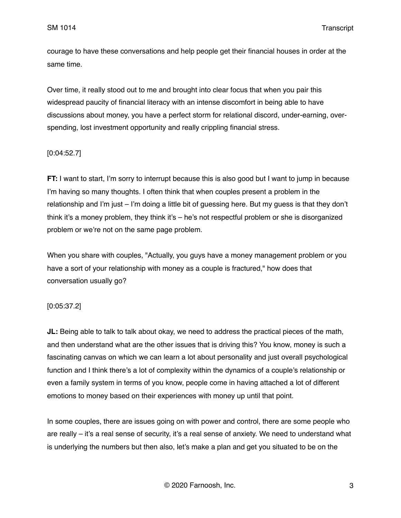courage to have these conversations and help people get their financial houses in order at the same time.

Over time, it really stood out to me and brought into clear focus that when you pair this widespread paucity of financial literacy with an intense discomfort in being able to have discussions about money, you have a perfect storm for relational discord, under-earning, overspending, lost investment opportunity and really crippling financial stress.

## [0:04:52.7]

**FT:** I want to start, I'm sorry to interrupt because this is also good but I want to jump in because I'm having so many thoughts. I often think that when couples present a problem in the relationship and I'm just – I'm doing a little bit of guessing here. But my guess is that they don't think it's a money problem, they think it's – he's not respectful problem or she is disorganized problem or we're not on the same page problem.

When you share with couples, "Actually, you guys have a money management problem or you have a sort of your relationship with money as a couple is fractured," how does that conversation usually go?

## [0:05:37.2]

**JL:** Being able to talk to talk about okay, we need to address the practical pieces of the math, and then understand what are the other issues that is driving this? You know, money is such a fascinating canvas on which we can learn a lot about personality and just overall psychological function and I think there's a lot of complexity within the dynamics of a couple's relationship or even a family system in terms of you know, people come in having attached a lot of different emotions to money based on their experiences with money up until that point.

In some couples, there are issues going on with power and control, there are some people who are really – it's a real sense of security, it's a real sense of anxiety. We need to understand what is underlying the numbers but then also, let's make a plan and get you situated to be on the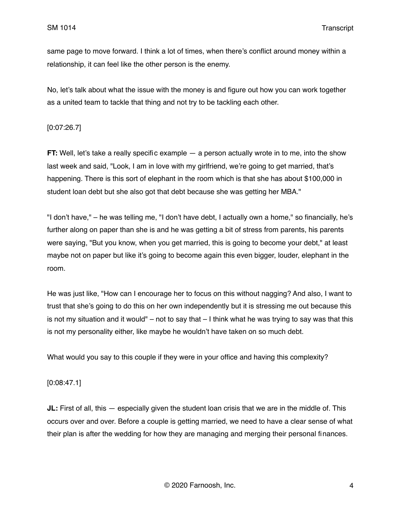same page to move forward. I think a lot of times, when there's conflict around money within a relationship, it can feel like the other person is the enemy.

No, let's talk about what the issue with the money is and figure out how you can work together as a united team to tackle that thing and not try to be tackling each other.

## [0:07:26.7]

**FT:** Well, let's take a really specific example — a person actually wrote in to me, into the show last week and said, "Look, I am in love with my girlfriend, we're going to get married, that's happening. There is this sort of elephant in the room which is that she has about \$100,000 in student loan debt but she also got that debt because she was getting her MBA."

"I don't have," – he was telling me, "I don't have debt, I actually own a home," so financially, he's further along on paper than she is and he was getting a bit of stress from parents, his parents were saying, "But you know, when you get married, this is going to become your debt," at least maybe not on paper but like it's going to become again this even bigger, louder, elephant in the room.

He was just like, "How can I encourage her to focus on this without nagging? And also, I want to trust that she's going to do this on her own independently but it is stressing me out because this is not my situation and it would" – not to say that  $-1$  think what he was trying to say was that this is not my personality either, like maybe he wouldn't have taken on so much debt.

What would you say to this couple if they were in your office and having this complexity?

## [0:08:47.1]

**JL:** First of all, this — especially given the student loan crisis that we are in the middle of. This occurs over and over. Before a couple is getting married, we need to have a clear sense of what their plan is after the wedding for how they are managing and merging their personal finances.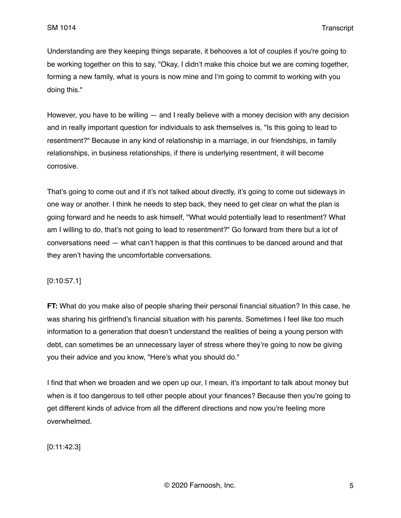Understanding are they keeping things separate, it behooves a lot of couples if you're going to be working together on this to say, "Okay, I didn't make this choice but we are coming together, forming a new family, what is yours is now mine and I'm going to commit to working with you doing this."

However, you have to be willing  $-$  and I really believe with a money decision with any decision and in really important question for individuals to ask themselves is, "Is this going to lead to resentment?" Because in any kind of relationship in a marriage, in our friendships, in family relationships, in business relationships, if there is underlying resentment, it will become corrosive.

That's going to come out and if it's not talked about directly, it's going to come out sideways in one way or another. I think he needs to step back, they need to get clear on what the plan is going forward and he needs to ask himself, "What would potentially lead to resentment? What am I willing to do, that's not going to lead to resentment?" Go forward from there but a lot of conversations need — what can't happen is that this continues to be danced around and that they aren't having the uncomfortable conversations.

## [0:10:57.1]

**FT:** What do you make also of people sharing their personal financial situation? In this case, he was sharing his girlfriend's financial situation with his parents. Sometimes I feel like too much information to a generation that doesn't understand the realities of being a young person with debt, can sometimes be an unnecessary layer of stress where they're going to now be giving you their advice and you know, "Here's what you should do."

I find that when we broaden and we open up our, I mean, it's important to talk about money but when is it too dangerous to tell other people about your finances? Because then you're going to get different kinds of advice from all the different directions and now you're feeling more overwhelmed.

[0:11:42.3]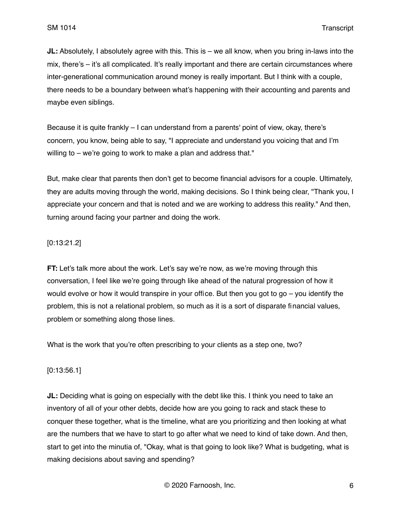**JL:** Absolutely, I absolutely agree with this. This is – we all know, when you bring in-laws into the mix, there's – it's all complicated. It's really important and there are certain circumstances where inter-generational communication around money is really important. But I think with a couple, there needs to be a boundary between what's happening with their accounting and parents and maybe even siblings.

Because it is quite frankly – I can understand from a parents' point of view, okay, there's concern, you know, being able to say, "I appreciate and understand you voicing that and I'm willing to – we're going to work to make a plan and address that."

But, make clear that parents then don't get to become financial advisors for a couple. Ultimately, they are adults moving through the world, making decisions. So I think being clear, "Thank you, I appreciate your concern and that is noted and we are working to address this reality." And then, turning around facing your partner and doing the work.

# [0:13:21.2]

**FT:** Let's talk more about the work. Let's say we're now, as we're moving through this conversation, I feel like we're going through like ahead of the natural progression of how it would evolve or how it would transpire in your office. But then you got to go – you identify the problem, this is not a relational problem, so much as it is a sort of disparate financial values, problem or something along those lines.

What is the work that you're often prescribing to your clients as a step one, two?

# [0:13:56.1]

**JL:** Deciding what is going on especially with the debt like this. I think you need to take an inventory of all of your other debts, decide how are you going to rack and stack these to conquer these together, what is the timeline, what are you prioritizing and then looking at what are the numbers that we have to start to go after what we need to kind of take down. And then, start to get into the minutia of, "Okay, what is that going to look like? What is budgeting, what is making decisions about saving and spending?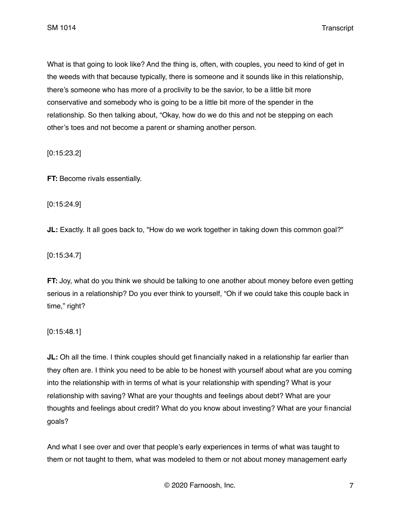What is that going to look like? And the thing is, often, with couples, you need to kind of get in the weeds with that because typically, there is someone and it sounds like in this relationship, there's someone who has more of a proclivity to be the savior, to be a little bit more conservative and somebody who is going to be a little bit more of the spender in the relationship. So then talking about, "Okay, how do we do this and not be stepping on each other's toes and not become a parent or shaming another person.

[0:15:23.2]

**FT:** Become rivals essentially.

[0:15:24.9]

**JL:** Exactly. It all goes back to, "How do we work together in taking down this common goal?"

[0:15:34.7]

**FT:** Joy, what do you think we should be talking to one another about money before even getting serious in a relationship? Do you ever think to yourself, "Oh if we could take this couple back in time," right?

[0:15:48.1]

**JL:** Oh all the time. I think couples should get financially naked in a relationship far earlier than they often are. I think you need to be able to be honest with yourself about what are you coming into the relationship with in terms of what is your relationship with spending? What is your relationship with saving? What are your thoughts and feelings about debt? What are your thoughts and feelings about credit? What do you know about investing? What are your financial goals?

And what I see over and over that people's early experiences in terms of what was taught to them or not taught to them, what was modeled to them or not about money management early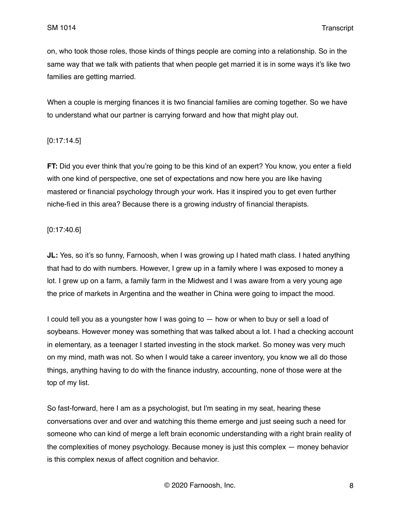on, who took those roles, those kinds of things people are coming into a relationship. So in the same way that we talk with patients that when people get married it is in some ways it's like two families are getting married.

When a couple is merging finances it is two financial families are coming together. So we have to understand what our partner is carrying forward and how that might play out.

## [0:17:14.5]

**FT:** Did you ever think that you're going to be this kind of an expert? You know, you enter a field with one kind of perspective, one set of expectations and now here you are like having mastered or financial psychology through your work. Has it inspired you to get even further niche-fied in this area? Because there is a growing industry of financial therapists.

### [0:17:40.6]

**JL:** Yes, so it's so funny, Farnoosh, when I was growing up I hated math class. I hated anything that had to do with numbers. However, I grew up in a family where I was exposed to money a lot. I grew up on a farm, a family farm in the Midwest and I was aware from a very young age the price of markets in Argentina and the weather in China were going to impact the mood.

I could tell you as a youngster how I was going to — how or when to buy or sell a load of soybeans. However money was something that was talked about a lot. I had a checking account in elementary, as a teenager I started investing in the stock market. So money was very much on my mind, math was not. So when I would take a career inventory, you know we all do those things, anything having to do with the finance industry, accounting, none of those were at the top of my list.

So fast-forward, here I am as a psychologist, but I'm seating in my seat, hearing these conversations over and over and watching this theme emerge and just seeing such a need for someone who can kind of merge a left brain economic understanding with a right brain reality of the complexities of money psychology. Because money is just this complex — money behavior is this complex nexus of affect cognition and behavior.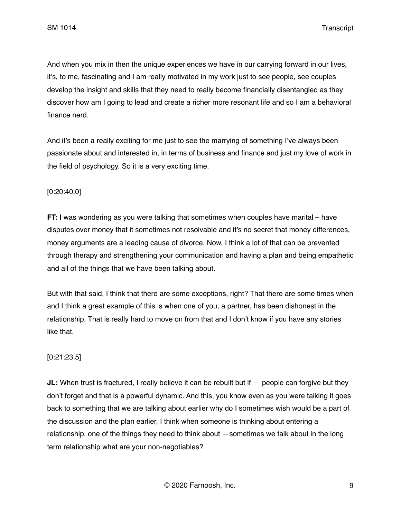And when you mix in then the unique experiences we have in our carrying forward in our lives, it's, to me, fascinating and I am really motivated in my work just to see people, see couples develop the insight and skills that they need to really become financially disentangled as they discover how am I going to lead and create a richer more resonant life and so I am a behavioral finance nerd.

And it's been a really exciting for me just to see the marrying of something I've always been passionate about and interested in, in terms of business and finance and just my love of work in the field of psychology. So it is a very exciting time.

## [0:20:40.0]

**FT:** I was wondering as you were talking that sometimes when couples have marital – have disputes over money that it sometimes not resolvable and it's no secret that money differences, money arguments are a leading cause of divorce. Now, I think a lot of that can be prevented through therapy and strengthening your communication and having a plan and being empathetic and all of the things that we have been talking about.

But with that said, I think that there are some exceptions, right? That there are some times when and I think a great example of this is when one of you, a partner, has been dishonest in the relationship. That is really hard to move on from that and I don't know if you have any stories like that.

#### [0:21:23.5]

**JL:** When trust is fractured, I really believe it can be rebuilt but if  $-$  people can forgive but they don't forget and that is a powerful dynamic. And this, you know even as you were talking it goes back to something that we are talking about earlier why do I sometimes wish would be a part of the discussion and the plan earlier, I think when someone is thinking about entering a relationship, one of the things they need to think about —sometimes we talk about in the long term relationship what are your non-negotiables?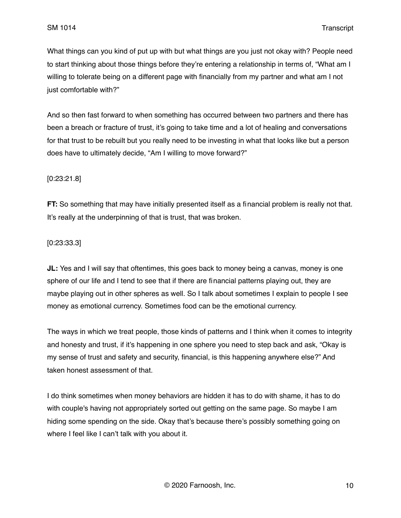What things can you kind of put up with but what things are you just not okay with? People need to start thinking about those things before they're entering a relationship in terms of, "What am I willing to tolerate being on a different page with financially from my partner and what am I not just comfortable with?"

And so then fast forward to when something has occurred between two partners and there has been a breach or fracture of trust, it's going to take time and a lot of healing and conversations for that trust to be rebuilt but you really need to be investing in what that looks like but a person does have to ultimately decide, "Am I willing to move forward?"

## [0:23:21.8]

**FT:** So something that may have initially presented itself as a financial problem is really not that. It's really at the underpinning of that is trust, that was broken.

## [0:23:33.3]

**JL:** Yes and I will say that oftentimes, this goes back to money being a canvas, money is one sphere of our life and I tend to see that if there are financial patterns playing out, they are maybe playing out in other spheres as well. So I talk about sometimes I explain to people I see money as emotional currency. Sometimes food can be the emotional currency.

The ways in which we treat people, those kinds of patterns and I think when it comes to integrity and honesty and trust, if it's happening in one sphere you need to step back and ask, "Okay is my sense of trust and safety and security, financial, is this happening anywhere else?" And taken honest assessment of that.

I do think sometimes when money behaviors are hidden it has to do with shame, it has to do with couple's having not appropriately sorted out getting on the same page. So maybe I am hiding some spending on the side. Okay that's because there's possibly something going on where I feel like I can't talk with you about it.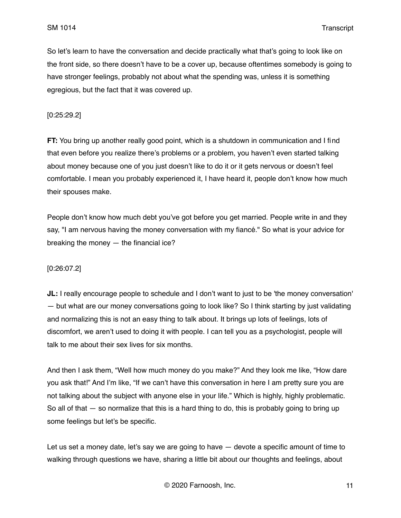So let's learn to have the conversation and decide practically what that's going to look like on the front side, so there doesn't have to be a cover up, because oftentimes somebody is going to have stronger feelings, probably not about what the spending was, unless it is something egregious, but the fact that it was covered up.

### [0:25:29.2]

**FT:** You bring up another really good point, which is a shutdown in communication and I find that even before you realize there's problems or a problem, you haven't even started talking about money because one of you just doesn't like to do it or it gets nervous or doesn't feel comfortable. I mean you probably experienced it, I have heard it, people don't know how much their spouses make.

People don't know how much debt you've got before you get married. People write in and they say, "I am nervous having the money conversation with my fiancé." So what is your advice for breaking the money — the financial ice?

## [0:26:07.2]

**JL:** I really encourage people to schedule and I don't want to just to be 'the money conversation' — but what are our money conversations going to look like? So I think starting by just validating and normalizing this is not an easy thing to talk about. It brings up lots of feelings, lots of discomfort, we aren't used to doing it with people. I can tell you as a psychologist, people will talk to me about their sex lives for six months.

And then I ask them, "Well how much money do you make?" And they look me like, "How dare you ask that!" And I'm like, "If we can't have this conversation in here I am pretty sure you are not talking about the subject with anyone else in your life." Which is highly, highly problematic. So all of that  $-$  so normalize that this is a hard thing to do, this is probably going to bring up some feelings but let's be specific.

Let us set a money date, let's say we are going to have  $-$  devote a specific amount of time to walking through questions we have, sharing a little bit about our thoughts and feelings, about